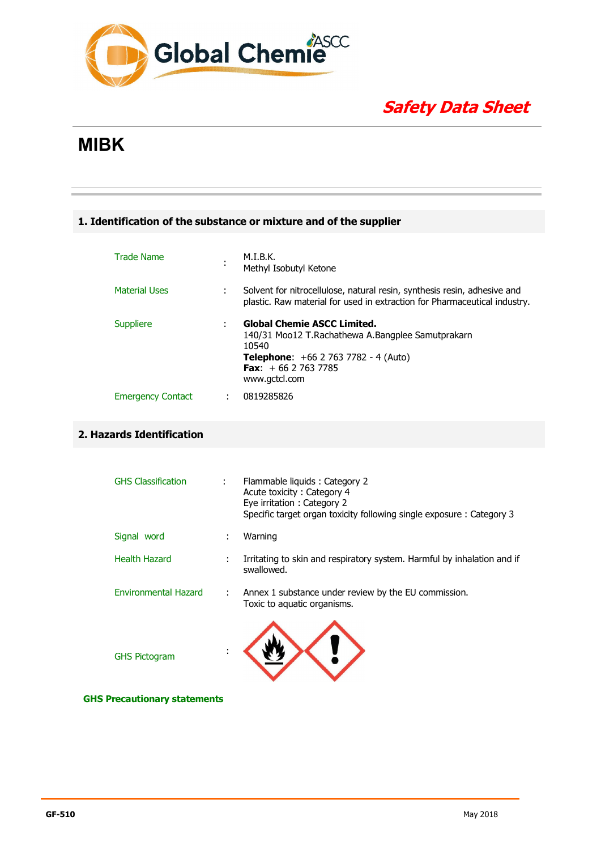

# **Safety Data Sheet**

# **MIBK**

#### **1. Identification of the substance or mixture and of the supplier**

| <b>Trade Name</b>        |   | M.I.B.K.<br>Methyl Isobutyl Ketone                                                                                                                                                              |
|--------------------------|---|-------------------------------------------------------------------------------------------------------------------------------------------------------------------------------------------------|
| <b>Material Uses</b>     |   | Solvent for nitrocellulose, natural resin, synthesis resin, adhesive and<br>plastic. Raw material for used in extraction for Pharmaceutical industry.                                           |
| Suppliere                |   | <b>Global Chemie ASCC Limited.</b><br>140/31 Moo12 T.Rachathewa A.Bangplee Samutprakarn<br>10540<br><b>Telephone:</b> $+66$ 2 763 7782 - 4 (Auto)<br><b>Fax:</b> $+6627637785$<br>www.gctcl.com |
| <b>Emergency Contact</b> | ÷ | 0819285826                                                                                                                                                                                      |

### **2. Hazards Identification**

| <b>GHS Classification</b>   | Flammable liquids : Category 2<br>Acute toxicity: Category 4<br>Eye irritation: Category 2<br>Specific target organ toxicity following single exposure: Category 3 |
|-----------------------------|--------------------------------------------------------------------------------------------------------------------------------------------------------------------|
| Signal word                 | Warning                                                                                                                                                            |
| Health Hazard               | Irritating to skin and respiratory system. Harmful by inhalation and if<br>swallowed.                                                                              |
| <b>Environmental Hazard</b> | Annex 1 substance under review by the EU commission.<br>Toxic to aquatic organisms.                                                                                |
| <b>GHS Pictogram</b>        |                                                                                                                                                                    |

**\_\_\_\_\_\_\_\_\_\_\_\_\_\_\_\_\_\_\_\_\_\_\_\_\_\_\_\_\_\_\_\_\_\_\_\_\_\_\_\_\_\_\_\_\_\_\_\_\_\_\_\_\_\_\_\_\_\_\_\_\_\_\_\_\_\_\_\_\_\_\_\_\_\_\_\_\_\_\_\_\_\_\_\_\_\_\_\_\_\_\_\_\_** 

 **GHS Precautionary statements**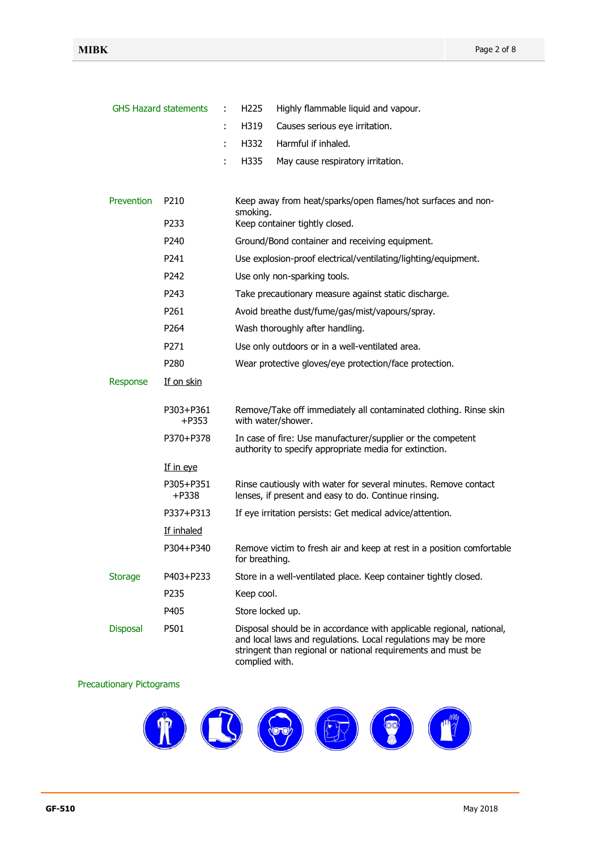|                   | <b>GHS Hazard statements</b> | H <sub>225</sub><br>Highly flammable liquid and vapour.                                                                                                                                                                 |
|-------------------|------------------------------|-------------------------------------------------------------------------------------------------------------------------------------------------------------------------------------------------------------------------|
|                   |                              | H319<br>Causes serious eye irritation.<br>÷                                                                                                                                                                             |
|                   |                              | Harmful if inhaled.<br>H332<br>÷                                                                                                                                                                                        |
|                   |                              | H335<br>÷<br>May cause respiratory irritation.                                                                                                                                                                          |
| <b>Prevention</b> | P <sub>210</sub>             | Keep away from heat/sparks/open flames/hot surfaces and non-                                                                                                                                                            |
|                   | P233                         | smoking.<br>Keep container tightly closed.                                                                                                                                                                              |
|                   | P240                         | Ground/Bond container and receiving equipment.                                                                                                                                                                          |
|                   | P241                         | Use explosion-proof electrical/ventilating/lighting/equipment.                                                                                                                                                          |
|                   | P242                         | Use only non-sparking tools.                                                                                                                                                                                            |
|                   | P243                         | Take precautionary measure against static discharge.                                                                                                                                                                    |
|                   | P <sub>261</sub>             | Avoid breathe dust/fume/gas/mist/vapours/spray.                                                                                                                                                                         |
|                   | P264                         | Wash thoroughly after handling.                                                                                                                                                                                         |
|                   | P271                         | Use only outdoors or in a well-ventilated area.                                                                                                                                                                         |
|                   | P <sub>280</sub>             | Wear protective gloves/eye protection/face protection.                                                                                                                                                                  |
| Response          | <u>If on skin</u>            |                                                                                                                                                                                                                         |
|                   | P303+P361<br>+P353           | Remove/Take off immediately all contaminated clothing. Rinse skin<br>with water/shower.                                                                                                                                 |
|                   | P370+P378                    | In case of fire: Use manufacturer/supplier or the competent<br>authority to specify appropriate media for extinction.                                                                                                   |
|                   | If in eye                    |                                                                                                                                                                                                                         |
|                   | P305+P351<br>$+P338$         | Rinse cautiously with water for several minutes. Remove contact<br>lenses, if present and easy to do. Continue rinsing.                                                                                                 |
|                   | P337+P313                    | If eye irritation persists: Get medical advice/attention.                                                                                                                                                               |
|                   | If inhaled                   |                                                                                                                                                                                                                         |
|                   | P304+P340                    | Remove victim to fresh air and keep at rest in a position comfortable<br>for breathing.                                                                                                                                 |
| <b>Storage</b>    | P403+P233                    | Store in a well-ventilated place. Keep container tightly closed.                                                                                                                                                        |
|                   | P235                         | Keep cool.                                                                                                                                                                                                              |
|                   | P405                         | Store locked up.                                                                                                                                                                                                        |
| <b>Disposal</b>   | P501                         | Disposal should be in accordance with applicable regional, national,<br>and local laws and regulations. Local regulations may be more<br>stringent than regional or national requirements and must be<br>complied with. |

#### Precautionary Pictograms

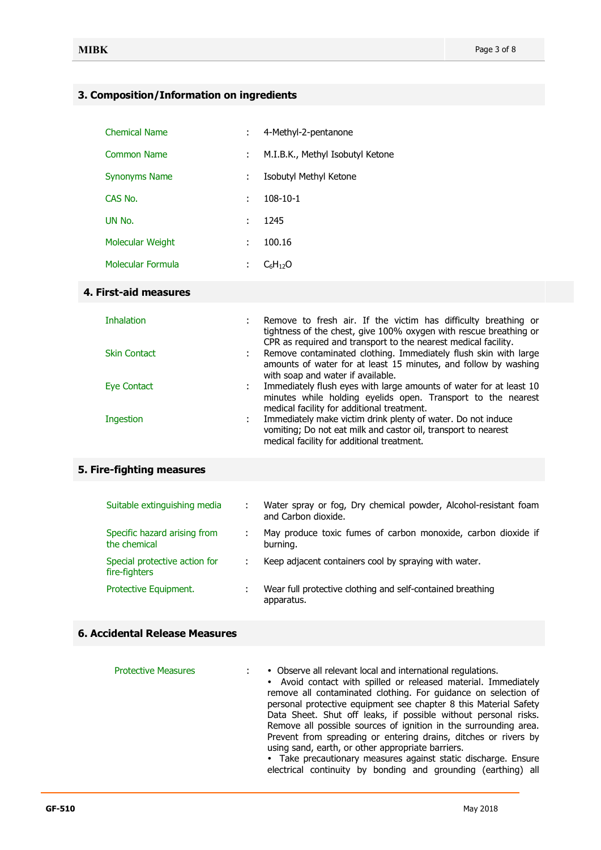### **3. Composition/Information on ingredients**

| <b>Chemical Name</b> |   | 4-Methyl-2-pentanone             |
|----------------------|---|----------------------------------|
| <b>Common Name</b>   | ÷ | M.I.B.K., Methyl Isobutyl Ketone |
| <b>Synonyms Name</b> | ÷ | Isobutyl Methyl Ketone           |
| CAS No.              | ÷ | $108 - 10 - 1$                   |
| UN No.               | ÷ | 1245                             |
| Molecular Weight     | ÷ | 100.16                           |
| Molecular Formula    | ÷ | $C_6H_{12}O$                     |

#### **4. First-aid measures**

| Inhalation          | Remove to fresh air. If the victim has difficulty breathing or<br>tightness of the chest, give 100% oxygen with rescue breathing or<br>CPR as required and transport to the nearest medical facility. |
|---------------------|-------------------------------------------------------------------------------------------------------------------------------------------------------------------------------------------------------|
| <b>Skin Contact</b> | : Remove contaminated clothing. Immediately flush skin with large<br>amounts of water for at least 15 minutes, and follow by washing<br>with soap and water if available.                             |
| Eye Contact         | Immediately flush eyes with large amounts of water for at least 10<br>minutes while holding eyelids open. Transport to the nearest<br>medical facility for additional treatment.                      |
| Ingestion           | Immediately make victim drink plenty of water. Do not induce<br>vomiting; Do not eat milk and castor oil, transport to nearest<br>medical facility for additional treatment.                          |

# **5. Fire-fighting measures**

| Suitable extinguishing media                   | Water spray or fog, Dry chemical powder, Alcohol-resistant foam<br>and Carbon dioxide. |
|------------------------------------------------|----------------------------------------------------------------------------------------|
| Specific hazard arising from<br>the chemical   | May produce toxic fumes of carbon monoxide, carbon dioxide if<br>burning.              |
| Special protective action for<br>fire-fighters | Keep adjacent containers cool by spraying with water.                                  |
| Protective Equipment.                          | Wear full protective clothing and self-contained breathing<br>apparatus.               |

#### **6. Accidental Release Measures**

| <b>Protective Measures</b> | • Observe all relevant local and international regulations.<br>$\blacksquare$<br>• Avoid contact with spilled or released material. Immediately<br>remove all contaminated clothing. For guidance on selection of<br>personal protective equipment see chapter 8 this Material Safety<br>Data Sheet. Shut off leaks, if possible without personal risks.<br>Remove all possible sources of ignition in the surrounding area.<br>Prevent from spreading or entering drains, ditches or rivers by<br>using sand, earth, or other appropriate barriers.<br>• Take precautionary measures against static discharge. Ensure |
|----------------------------|------------------------------------------------------------------------------------------------------------------------------------------------------------------------------------------------------------------------------------------------------------------------------------------------------------------------------------------------------------------------------------------------------------------------------------------------------------------------------------------------------------------------------------------------------------------------------------------------------------------------|
|                            | electrical continuity by bonding and grounding (earthing) all                                                                                                                                                                                                                                                                                                                                                                                                                                                                                                                                                          |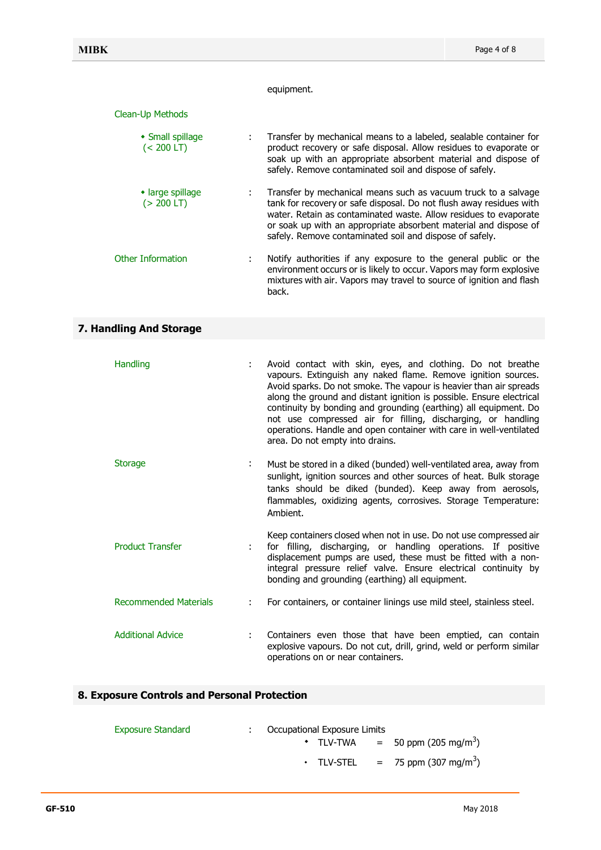#### equipment.

#### Clean-Up Methods

| • Small spillage<br>$(< 200$ LT)       | ÷. | Transfer by mechanical means to a labeled, sealable container for<br>product recovery or safe disposal. Allow residues to evaporate or<br>soak up with an appropriate absorbent material and dispose of<br>safely. Remove contaminated soil and dispose of safely.                                                                       |
|----------------------------------------|----|------------------------------------------------------------------------------------------------------------------------------------------------------------------------------------------------------------------------------------------------------------------------------------------------------------------------------------------|
| $\cdot$ large spillage<br>$(> 200$ LT) |    | Transfer by mechanical means such as vacuum truck to a salvage<br>tank for recovery or safe disposal. Do not flush away residues with<br>water. Retain as contaminated waste. Allow residues to evaporate<br>or soak up with an appropriate absorbent material and dispose of<br>safely. Remove contaminated soil and dispose of safely. |
| Other Information                      | ÷  | Notify authorities if any exposure to the general public or the<br>environment occurs or is likely to occur. Vapors may form explosive<br>mixtures with air. Vapors may travel to source of ignition and flash<br>back.                                                                                                                  |

# **7. Handling And Storage**

| <b>Handling</b>              | ÷ | Avoid contact with skin, eyes, and clothing. Do not breathe<br>vapours. Extinguish any naked flame. Remove ignition sources.<br>Avoid sparks. Do not smoke. The vapour is heavier than air spreads<br>along the ground and distant ignition is possible. Ensure electrical<br>continuity by bonding and grounding (earthing) all equipment. Do<br>not use compressed air for filling, discharging, or handling<br>operations. Handle and open container with care in well-ventilated<br>area. Do not empty into drains. |
|------------------------------|---|-------------------------------------------------------------------------------------------------------------------------------------------------------------------------------------------------------------------------------------------------------------------------------------------------------------------------------------------------------------------------------------------------------------------------------------------------------------------------------------------------------------------------|
| <b>Storage</b>               | ÷ | Must be stored in a diked (bunded) well-ventilated area, away from<br>sunlight, ignition sources and other sources of heat. Bulk storage<br>tanks should be diked (bunded). Keep away from aerosols,<br>flammables, oxidizing agents, corrosives. Storage Temperature:<br>Ambient.                                                                                                                                                                                                                                      |
| <b>Product Transfer</b>      |   | Keep containers closed when not in use. Do not use compressed air<br>for filling, discharging, or handling operations. If positive<br>displacement pumps are used, these must be fitted with a non-<br>integral pressure relief valve. Ensure electrical continuity by<br>bonding and grounding (earthing) all equipment.                                                                                                                                                                                               |
| <b>Recommended Materials</b> | ÷ | For containers, or container linings use mild steel, stainless steel.                                                                                                                                                                                                                                                                                                                                                                                                                                                   |
| <b>Additional Advice</b>     | ÷ | Containers even those that have been emptied, can contain<br>explosive vapours. Do not cut, drill, grind, weld or perform similar<br>operations on or near containers.                                                                                                                                                                                                                                                                                                                                                  |

#### **8. Exposure Controls and Personal Protection**

| <b>Exposure Standard</b> | Occupational Exposure Limits |                                     |
|--------------------------|------------------------------|-------------------------------------|
|                          | ◆ TLV-TWA                    | $=$ 50 ppm (205 mg/m <sup>3</sup> ) |
|                          | $\cdot$ TLV-STEL             | $= 75$ ppm (307 mg/m <sup>3</sup> ) |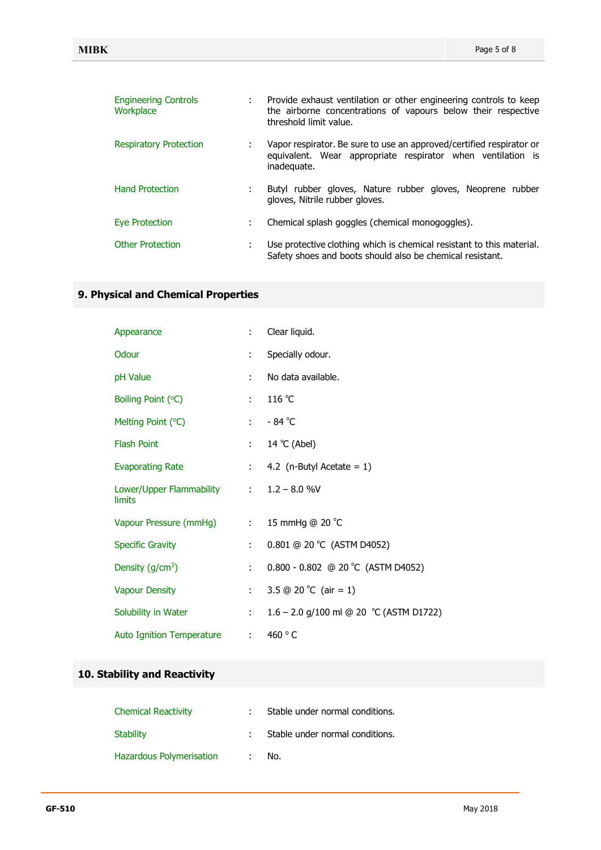| <b>Engineering Controls</b><br>Workplace |   | Provide exhaust ventilation or other engineering controls to keep<br>the airborne concentrations of vapours below their respective<br>threshold limit value. |
|------------------------------------------|---|--------------------------------------------------------------------------------------------------------------------------------------------------------------|
| <b>Respiratory Protection</b>            |   | Vapor respirator. Be sure to use an approved/certified respirator or<br>equivalent. Wear appropriate respirator when ventilation is<br>inadequate.           |
| <b>Hand Protection</b>                   |   | Butyl rubber gloves, Nature rubber gloves, Neoprene rubber<br>gloves, Nitrile rubber gloves.                                                                 |
| Eye Protection                           | ÷ | Chemical splash goggles (chemical monogoggles).                                                                                                              |
| <b>Other Protection</b>                  |   | Use protective clothing which is chemical resistant to this material.<br>Safety shoes and boots should also be chemical resistant.                           |

# **9. Physical and Chemical Properties**

| Appearance                                        | $\mathcal{L}$              | Clear liquid.                           |
|---------------------------------------------------|----------------------------|-----------------------------------------|
| Odour                                             | $\mathbb{R}^{\mathbb{Z}}$  | Specially odour.                        |
| pH Value                                          | ÷                          | No data available.                      |
| Boiling Point (°C)                                | t.                         | 116 °C                                  |
| Melting Point (°C)                                | $\mathbf{L}$               | $-84^{\circ}$ C                         |
| <b>Flash Point</b>                                | $\mathbb{Z}^{\mathbb{Z}}$  | 14 °C (Abel)                            |
| <b>Evaporating Rate</b>                           | $\mathbb{R}^{\mathbb{Z}}$  | 4.2 (n-Butyl Acetate = $1$ )            |
| Lower/Upper Flammability : 1.2 - 8.0 %V<br>limits |                            |                                         |
| Vapour Pressure (mmHg)                            | $\mathcal{L}^{\text{max}}$ | 15 mmHg @ 20 °C                         |
| <b>Specific Gravity</b>                           | ÷.                         | 0.801 @ 20 °C (ASTM D4052)              |
| Density $(g/cm3)$                                 | ÷                          | 0.800 - 0.802 @ 20 °C (ASTM D4052)      |
| <b>Vapour Density</b>                             | $\mathbb{R}^{\mathbb{Z}}$  | 3.5 @ 20 °C (air = 1)                   |
| Solubility in Water                               | $\mathbb{R}^{\mathbb{Z}}$  | 1.6 – 2.0 g/100 ml @ 20 °C (ASTM D1722) |
| <b>Auto Ignition Temperature</b>                  | $\mathcal{L}^{\text{max}}$ | 460 $\degree$ C                         |

# **10. Stability and Reactivity**

| <b>Chemical Reactivity</b>      | Stable under normal conditions. |
|---------------------------------|---------------------------------|
| <b>Stability</b>                | Stable under normal conditions. |
| <b>Hazardous Polymerisation</b> | No.                             |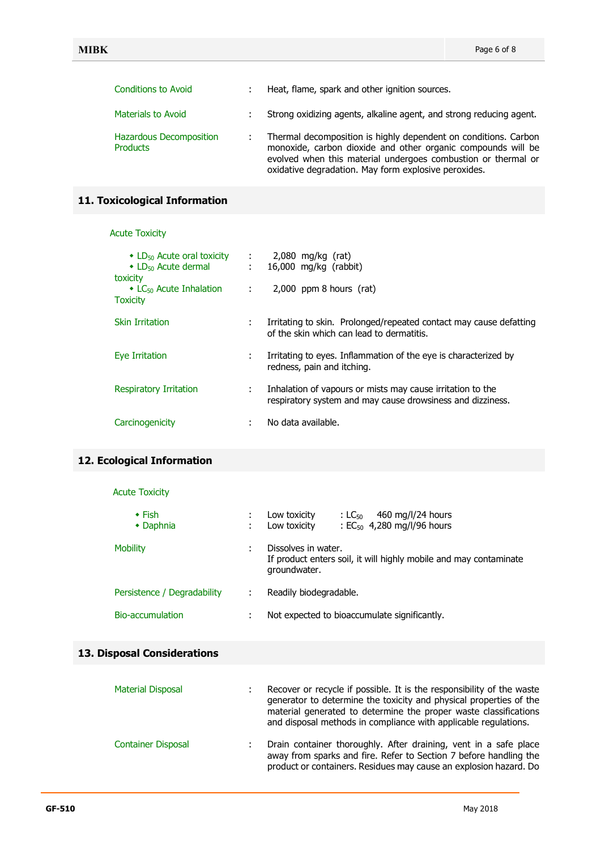| <b>Conditions to Avoid</b>          | Heat, flame, spark and other ignition sources.                                                                                                                                                                                                           |
|-------------------------------------|----------------------------------------------------------------------------------------------------------------------------------------------------------------------------------------------------------------------------------------------------------|
| Materials to Avoid                  | Strong oxidizing agents, alkaline agent, and strong reducing agent.                                                                                                                                                                                      |
| Hazardous Decomposition<br>Products | Thermal decomposition is highly dependent on conditions. Carbon<br>monoxide, carbon dioxide and other organic compounds will be<br>evolved when this material undergoes combustion or thermal or<br>oxidative degradation. May form explosive peroxides. |

# **11. Toxicological Information**

#### Acute Toxicity

| $\cdot$ LD <sub>50</sub> Acute oral toxicity : 2,080 mg/kg (rat)<br>• LD <sub>50</sub> Acute dermal : 16,000 mg/kg (rabbit)<br>toxicity |   |                                                                                                                          |
|-----------------------------------------------------------------------------------------------------------------------------------------|---|--------------------------------------------------------------------------------------------------------------------------|
| $\bullet$ LC <sub>50</sub> Acute Inhalation $\qquad$ :<br><b>Toxicity</b>                                                               |   | $2,000$ ppm 8 hours (rat)                                                                                                |
| <b>Skin Irritation</b>                                                                                                                  | ÷ | Irritating to skin. Prolonged/repeated contact may cause defatting<br>of the skin which can lead to dermatitis.          |
| Eye Irritation                                                                                                                          |   | Irritating to eyes. Inflammation of the eye is characterized by<br>redness, pain and itching.                            |
| Respiratory Irritation                                                                                                                  |   | Inhalation of vapours or mists may cause irritation to the<br>respiratory system and may cause drowsiness and dizziness. |
| Carcinogenicity                                                                                                                         | ÷ | No data available.                                                                                                       |

# **12. Ecological Information**

## Acute Toxicity

| $\cdot$ Fish<br>• Daphnia   |   | 460 mg/l/24 hours<br>Low toxicity<br>: LC $50-$<br>: $EC_{50}$ 4,280 mg/l/96 hours<br>Low toxicity       |
|-----------------------------|---|----------------------------------------------------------------------------------------------------------|
| <b>Mobility</b>             | ٠ | Dissolves in water.<br>If product enters soil, it will highly mobile and may contaminate<br>groundwater. |
| Persistence / Degradability | ÷ | Readily biodegradable.                                                                                   |
| <b>Bio-accumulation</b>     | ٠ | Not expected to bioaccumulate significantly.                                                             |

#### **13. Disposal Considerations**

| <b>Material Disposal</b>  | Recover or recycle if possible. It is the responsibility of the waste<br>generator to determine the toxicity and physical properties of the<br>material generated to determine the proper waste classifications<br>and disposal methods in compliance with applicable regulations. |
|---------------------------|------------------------------------------------------------------------------------------------------------------------------------------------------------------------------------------------------------------------------------------------------------------------------------|
| <b>Container Disposal</b> | Drain container thoroughly. After draining, vent in a safe place<br>away from sparks and fire. Refer to Section 7 before handling the<br>product or containers. Residues may cause an explosion hazard. Do                                                                         |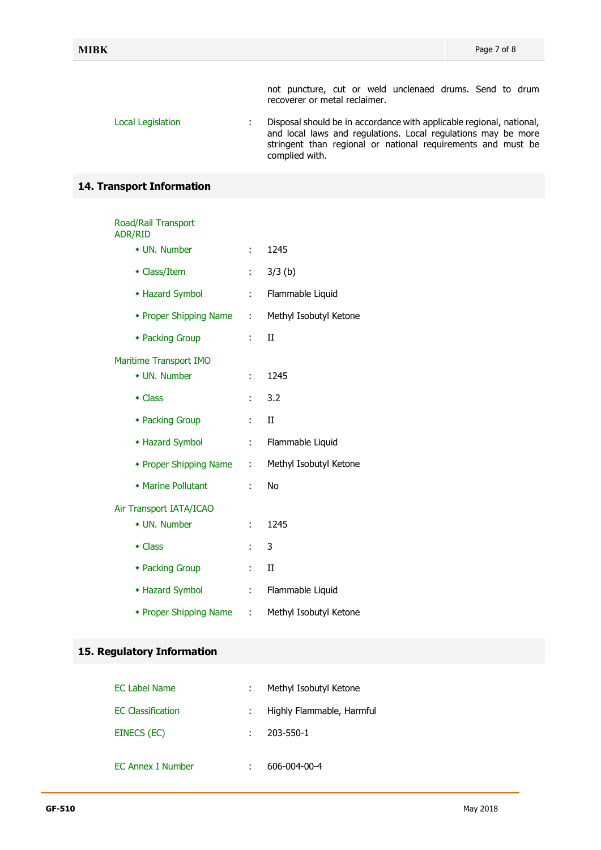not puncture, cut or weld unclenaed drums. Send to drum recoverer or metal reclaimer.

Local Legislation : Disposal should be in accordance with applicable regional, national, and local laws and regulations. Local regulations may be more stringent than regional or national requirements and must be complied with.

#### **14. Transport Information**

# Road/Rail Transport ADR/RID

| • UN. Number            | ÷ | 1245                   |
|-------------------------|---|------------------------|
| • Class/Item            | ÷ | $3/3$ (b)              |
| • Hazard Symbol         | ÷ | Flammable Liquid       |
| • Proper Shipping Name  | ÷ | Methyl Isobutyl Ketone |
| • Packing Group         | ÷ | П                      |
| Maritime Transport IMO  |   |                        |
| • UN. Number            | ÷ | 1245                   |
| $\bullet$ Class         | ÷ | 3.2                    |
| • Packing Group         | ÷ | H                      |
| • Hazard Symbol         | ÷ | Flammable Liquid       |
| • Proper Shipping Name  | ÷ | Methyl Isobutyl Ketone |
| • Marine Pollutant      | ÷ | No                     |
| Air Transport IATA/ICAO |   |                        |
| • UN. Number            | ÷ | 1245                   |
| $\bullet$ Class         | ÷ | 3                      |
| • Packing Group         | ÷ | H                      |
| • Hazard Symbol         | t | Flammable Liquid       |
| • Proper Shipping Name  | ÷ | Methyl Isobutyl Ketone |

#### **15. Regulatory Information**

| <b>EC Label Name</b>     | Methyl Isobutyl Ketone    |
|--------------------------|---------------------------|
| <b>EC Classification</b> | Highly Flammable, Harmful |
| EINECS (EC)              | 203-550-1                 |
| <b>EC Annex I Number</b> | 606-004-00-4              |